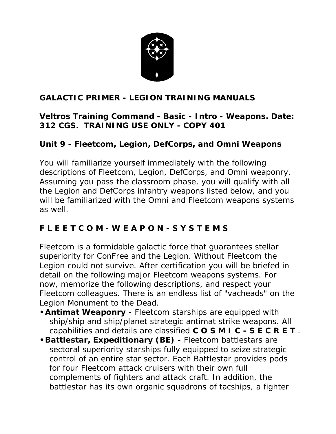

#### **GALACTIC PRIMER - LEGION TRAINING MANUALS**

#### **Veltros Training Command - Basic - Intro - Weapons. Date: 312 CGS. TRAINING USE ONLY - COPY 401**

#### **Unit 9 - Fleetcom, Legion, DefCorps, and Omni Weapons**

You will familiarize yourself immediately with the following descriptions of Fleetcom, Legion, DefCorps, and Omni weaponry. Assuming you pass the classroom phase, you will qualify with all the Legion and DefCorps infantry weapons listed below, and you will be familiarized with the Omni and Fleetcom weapons systems as well.

## **F L E E T C O M - W E A P O N - S Y S T E M S**

Fleetcom is a formidable galactic force that guarantees stellar superiority for ConFree and the Legion. Without Fleetcom the Legion could not survive. After certification you will be briefed in detail on the following major Fleetcom weapons systems. For now, memorize the following descriptions, and respect your Fleetcom colleagues. There is an endless list of "vacheads" on the Legion Monument to the Dead.

- **•Antimat Weaponry -** Fleetcom starships are equipped with ship/ship and ship/planet strategic antimat strike weapons. All capabilities and details are classified **C O S M I C - S E C R E T** .
- **•Battlestar, Expeditionary (BE) -** Fleetcom battlestars are sectoral superiority starships fully equipped to seize strategic control of an entire star sector. Each Battlestar provides pods for four Fleetcom attack cruisers with their own full complements of fighters and attack craft. In addition, the battlestar has its own organic squadrons of tacships, a fighter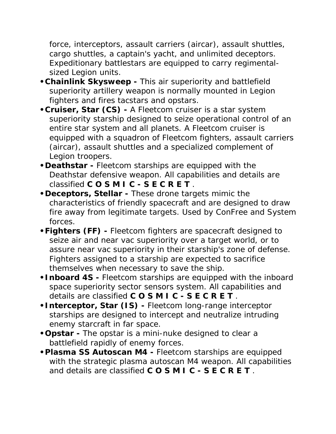force, interceptors, assault carriers (aircar), assault shuttles, cargo shuttles, a captain's yacht, and unlimited deceptors. Expeditionary battlestars are equipped to carry regimentalsized Legion units.

- **•Chainlink Skysweep -** This air superiority and battlefield superiority artillery weapon is normally mounted in Legion fighters and fires tacstars and opstars.
- **•Cruiser, Star (CS) -** A Fleetcom cruiser is a star system superiority starship designed to seize operational control of an entire star system and all planets. A Fleetcom cruiser is equipped with a squadron of Fleetcom fighters, assault carriers (aircar), assault shuttles and a specialized complement of Legion troopers.
- **•Deathstar -** Fleetcom starships are equipped with the Deathstar defensive weapon. All capabilities and details are classified **C O S M I C - S E C R E T** .
- **•Deceptors, Stellar -** These drone targets mimic the characteristics of friendly spacecraft and are designed to draw fire away from legitimate targets. Used by ConFree and System forces.
- **•Fighters (FF) -** Fleetcom fighters are spacecraft designed to seize air and near vac superiority over a target world, or to assure near vac superiority in their starship's zone of defense. Fighters assigned to a starship are expected to sacrifice themselves when necessary to save the ship.
- **•Inboard 4S -** Fleetcom starships are equipped with the inboard space superiority sector sensors system. All capabilities and details are classified **C O S M I C - S E C R E T** .
- **•Interceptor, Star (IS) -** Fleetcom long-range interceptor starships are designed to intercept and neutralize intruding enemy starcraft in far space.
- **•Opstar -** The opstar is a mini-nuke designed to clear a battlefield rapidly of enemy forces.
- **•Plasma SS Autoscan M4 -** Fleetcom starships are equipped with the strategic plasma autoscan M4 weapon. All capabilities and details are classified **C O S M I C - S E C R E T** .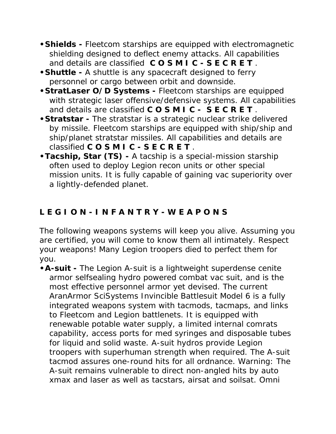- **•Shields -** Fleetcom starships are equipped with electromagnetic shielding designed to deflect enemy attacks. All capabilities and details are classified **C O S M I C - S E C R E T** .
- **•Shuttle -** A shuttle is any spacecraft designed to ferry personnel or cargo between orbit and downside.
- **•StratLaser O/D Systems -** Fleetcom starships are equipped with strategic laser offensive/defensive systems. All capabilities and details are classified **C O S M I C - S E C R E T** .
- **•Stratstar -** The stratstar is a strategic nuclear strike delivered by missile. Fleetcom starships are equipped with ship/ship and ship/planet stratstar missiles. All capabilities and details are classified **C O S M I C - S E C R E T** .
- **•Tacship, Star (TS) -** A tacship is a special-mission starship often used to deploy Legion recon units or other special mission units. It is fully capable of gaining vac superiority over a lightly-defended planet.

# **L E G I O N - I N F A N T R Y - W E A P O N S**

The following weapons systems will keep you alive. Assuming you are certified, you will come to know them all intimately. Respect your weapons! Many Legion troopers died to perfect them for you.

**•A-suit -** The Legion A-suit is a lightweight superdense cenite armor selfsealing hydro powered combat vac suit, and is the most effective personnel armor yet devised. The current AranArmor SciSystems Invincible Battlesuit Model 6 is a fully integrated weapons system with tacmods, tacmaps, and links to Fleetcom and Legion battlenets. It is equipped with renewable potable water supply, a limited internal comrats capability, access ports for med syringes and disposable tubes for liquid and solid waste. A-suit hydros provide Legion troopers with superhuman strength when required. The A-suit tacmod assures one-round hits for all ordnance. Warning: The A-suit remains vulnerable to direct non-angled hits by auto xmax and laser as well as tacstars, airsat and soilsat. Omni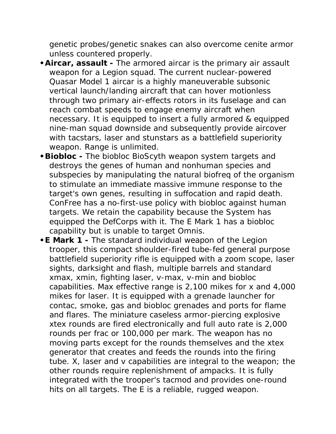genetic probes/genetic snakes can also overcome cenite armor unless countered properly.

- **•Aircar, assault -** The armored aircar is the primary air assault weapon for a Legion squad. The current nuclear-powered Quasar Model 1 aircar is a highly maneuverable subsonic vertical launch/landing aircraft that can hover motionless through two primary air-effects rotors in its fuselage and can reach combat speeds to engage enemy aircraft when necessary. It is equipped to insert a fully armored & equipped nine-man squad downside and subsequently provide aircover with tacstars, laser and stunstars as a battlefield superiority weapon. Range is unlimited.
- **•Biobloc -** The biobloc BioScyth weapon system targets and destroys the genes of human and nonhuman species and subspecies by manipulating the natural biofreq of the organism to stimulate an immediate massive immune response to the target's own genes, resulting in suffocation and rapid death. ConFree has a no-first-use policy with biobloc against human targets. We retain the capability because the System has equipped the DefCorps with it. The E Mark 1 has a biobloc capability but is unable to target Omnis.
- **•E Mark 1 -** The standard individual weapon of the Legion trooper, this compact shoulder-fired tube-fed general purpose battlefield superiority rifle is equipped with a zoom scope, laser sights, darksight and flash, multiple barrels and standard xmax, xmin, fighting laser, v-max, v-min and biobloc capabilities. Max effective range is 2,100 mikes for x and 4,000 mikes for laser. It is equipped with a grenade launcher for contac, smoke, gas and biobloc grenades and ports for flame and flares. The miniature caseless armor-piercing explosive xtex rounds are fired electronically and full auto rate is 2,000 rounds per frac or 100,000 per mark. The weapon has no moving parts except for the rounds themselves and the xtex generator that creates and feeds the rounds into the firing tube. X, laser and v capabilities are integral to the weapon; the other rounds require replenishment of ampacks. It is fully integrated with the trooper's tacmod and provides one-round hits on all targets. The E is a reliable, rugged weapon.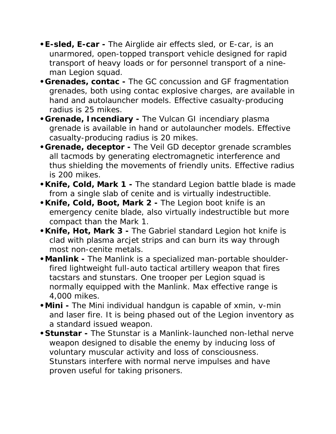- **•E-sled, E-car -** The Airglide air effects sled, or E-car, is an unarmored, open-topped transport vehicle designed for rapid transport of heavy loads or for personnel transport of a nineman Legion squad.
- **•Grenades, contac -** The GC concussion and GF fragmentation grenades, both using contac explosive charges, are available in hand and autolauncher models. Effective casualty-producing radius is 25 mikes.
- **•Grenade, Incendiary -** The Vulcan GI incendiary plasma grenade is available in hand or autolauncher models. Effective casualty-producing radius is 20 mikes.
- **•Grenade, deceptor -** The Veil GD deceptor grenade scrambles all tacmods by generating electromagnetic interference and thus shielding the movements of friendly units. Effective radius is 200 mikes.
- **•Knife, Cold, Mark 1 -** The standard Legion battle blade is made from a single slab of cenite and is virtually indestructible.
- **•Knife, Cold, Boot, Mark 2 -** The Legion boot knife is an emergency cenite blade, also virtually indestructible but more compact than the Mark 1.
- **•Knife, Hot, Mark 3 -** The Gabriel standard Legion hot knife is clad with plasma arcjet strips and can burn its way through most non-cenite metals.
- **•Manlink -** The Manlink is a specialized man-portable shoulderfired lightweight full-auto tactical artillery weapon that fires tacstars and stunstars. One trooper per Legion squad is normally equipped with the Manlink. Max effective range is 4,000 mikes.
- **•Mini -** The Mini individual handgun is capable of xmin, v-min and laser fire. It is being phased out of the Legion inventory as a standard issued weapon.
- **•Stunstar -** The Stunstar is a Manlink-launched non-lethal nerve weapon designed to disable the enemy by inducing loss of voluntary muscular activity and loss of consciousness. Stunstars interfere with normal nerve impulses and have proven useful for taking prisoners.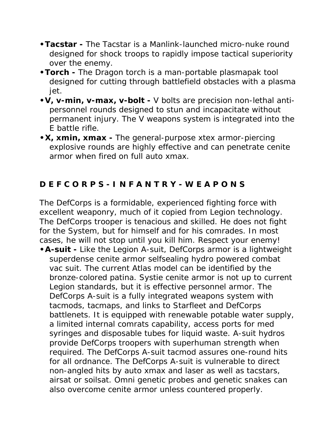- **•Tacstar -** The Tacstar is a Manlink-launched micro-nuke round designed for shock troops to rapidly impose tactical superiority over the enemy.
- **•Torch -** The Dragon torch is a man-portable plasmapak tool designed for cutting through battlefield obstacles with a plasma jet.
- **•V, v-min, v-max, v-bolt -** V bolts are precision non-lethal antipersonnel rounds designed to stun and incapacitate without permanent injury. The V weapons system is integrated into the E battle rifle.
- **•X, xmin, xmax -** The general-purpose xtex armor-piercing explosive rounds are highly effective and can penetrate cenite armor when fired on full auto xmax.

## **D E F C O R P S - I N F A N T R Y - W E A P O N S**

The DefCorps is a formidable, experienced fighting force with excellent weaponry, much of it copied from Legion technology. The DefCorps trooper is tenacious and skilled. He does not fight for the System, but for himself and for his comrades. In most cases, he will not stop until you kill him. Respect your enemy!

**•A-suit -** Like the Legion A-suit, DefCorps armor is a lightweight superdense cenite armor selfsealing hydro powered combat vac suit. The current Atlas model can be identified by the bronze-colored patina. Systie cenite armor is not up to current Legion standards, but it is effective personnel armor. The DefCorps A-suit is a fully integrated weapons system with tacmods, tacmaps, and links to Starfleet and DefCorps battlenets. It is equipped with renewable potable water supply, a limited internal comrats capability, access ports for med syringes and disposable tubes for liquid waste. A-suit hydros provide DefCorps troopers with superhuman strength when required. The DefCorps A-suit tacmod assures one-round hits for all ordnance. The DefCorps A-suit is vulnerable to direct non-angled hits by auto xmax and laser as well as tacstars, airsat or soilsat. Omni genetic probes and genetic snakes can also overcome cenite armor unless countered properly.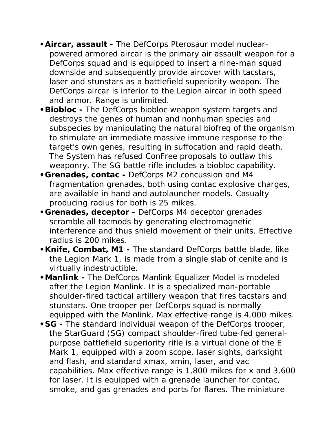- **•Aircar, assault -** The DefCorps Pterosaur model nuclearpowered armored aircar is the primary air assault weapon for a DefCorps squad and is equipped to insert a nine-man squad downside and subsequently provide aircover with tacstars, laser and stunstars as a battlefield superiority weapon. The DefCorps aircar is inferior to the Legion aircar in both speed and armor. Range is unlimited.
- **•Biobloc -** The DefCorps biobloc weapon system targets and destroys the genes of human and nonhuman species and subspecies by manipulating the natural biofreq of the organism to stimulate an immediate massive immune response to the target's own genes, resulting in suffocation and rapid death. The System has refused ConFree proposals to outlaw this weaponry. The SG battle rifle includes a biobloc capability.
- **•Grenades, contac -** DefCorps M2 concussion and M4 fragmentation grenades, both using contac explosive charges, are available in hand and autolauncher models. Casualty producing radius for both is 25 mikes.
- **•Grenades, deceptor -** DefCorps M4 deceptor grenades scramble all tacmods by generating electromagnetic interference and thus shield movement of their units. Effective radius is 200 mikes.
- **•Knife, Combat, M1 -** The standard DefCorps battle blade, like the Legion Mark 1, is made from a single slab of cenite and is virtually indestructible.
- **•Manlink -** The DefCorps Manlink Equalizer Model is modeled after the Legion Manlink. It is a specialized man-portable shoulder-fired tactical artillery weapon that fires tacstars and stunstars. One trooper per DefCorps squad is normally equipped with the Manlink. Max effective range is 4,000 mikes.
- **•SG -** The standard individual weapon of the DefCorps trooper, the StarGuard (SG) compact shoulder-fired tube-fed generalpurpose battlefield superiority rifle is a virtual clone of the E Mark 1, equipped with a zoom scope, laser sights, darksight and flash, and standard xmax, xmin, laser, and vac capabilities. Max effective range is 1,800 mikes for x and 3,600 for laser. It is equipped with a grenade launcher for contac, smoke, and gas grenades and ports for flares. The miniature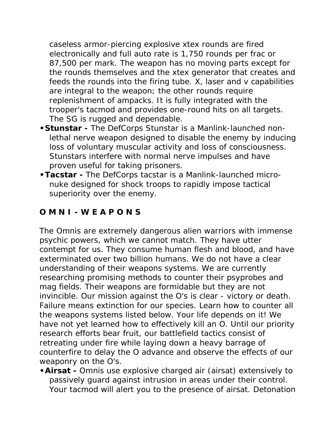caseless armor-piercing explosive xtex rounds are fired electronically and full auto rate is 1,750 rounds per frac or 87,500 per mark. The weapon has no moving parts except for the rounds themselves and the xtex generator that creates and feeds the rounds into the firing tube. X, laser and v capabilities are integral to the weapon; the other rounds require replenishment of ampacks. It is fully integrated with the trooper's tacmod and provides one-round hits on all targets. The SG is rugged and dependable.

- **•Stunstar -** The DefCorps Stunstar is a Manlink-launched nonlethal nerve weapon designed to disable the enemy by inducing loss of voluntary muscular activity and loss of consciousness. Stunstars interfere with normal nerve impulses and have proven useful for taking prisoners.
- **•Tacstar -** The DefCorps tacstar is a Manlink-launched micronuke designed for shock troops to rapidly impose tactical superiority over the enemy.

#### **O M N I - W E A P O N S**

The Omnis are extremely dangerous alien warriors with immense psychic powers, which we cannot match. They have utter contempt for us. They consume human flesh and blood, and have exterminated over two billion humans. We do not have a clear understanding of their weapons systems. We are currently researching promising methods to counter their psyprobes and mag fields. Their weapons are formidable but they are not invincible. Our mission against the O's is clear - victory or death. Failure means extinction for our species. Learn how to counter all the weapons systems listed below. Your life depends on it! We have not yet learned how to effectively kill an O. Until our priority research efforts bear fruit, our battlefield tactics consist of retreating under fire while laying down a heavy barrage of counterfire to delay the O advance and observe the effects of our weaponry on the O's.

**•Airsat -** Omnis use explosive charged air (airsat) extensively to passively guard against intrusion in areas under their control. Your tacmod will alert you to the presence of airsat. Detonation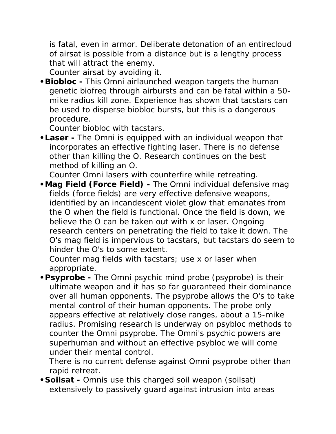is fatal, even in armor. Deliberate detonation of an entirecloud of airsat is possible from a distance but is a lengthy process that will attract the enemy.

*Counter airsat by avoiding it.*

**•Biobloc -** This Omni airlaunched weapon targets the human genetic biofreq through airbursts and can be fatal within a 50 mike radius kill zone. Experience has shown that tacstars can be used to disperse biobloc bursts, but this is a dangerous procedure.

*Counter biobloc with tacstars.*

**•Laser -** The Omni is equipped with an individual weapon that incorporates an effective fighting laser. There is no defense other than killing the O. Research continues on the best method of killing an O.

*Counter Omni lasers with counterfire while retreating.*

**•Mag Field (Force Field) -** The Omni individual defensive mag fields (force fields) are very effective defensive weapons, identified by an incandescent violet glow that emanates from the O when the field is functional. Once the field is down, we believe the O can be taken out with x or laser. Ongoing research centers on penetrating the field to take it down. The O's mag field is impervious to tacstars, but tacstars do seem to hinder the O's to some extent.

*Counter mag fields with tacstars; use x or laser when appropriate.*

**•Psyprobe -** The Omni psychic mind probe (psyprobe) is their ultimate weapon and it has so far guaranteed their dominance over all human opponents. The psyprobe allows the O's to take mental control of their human opponents. The probe only appears effective at relatively close ranges, about a 15-mike radius. Promising research is underway on psybloc methods to counter the Omni psyprobe. The Omni's psychic powers are superhuman and without an effective psybloc we will come under their mental control.

*There is no current defense against Omni psyprobe other than rapid retreat.*

**•Soilsat -** Omnis use this charged soil weapon (soilsat) extensively to passively guard against intrusion into areas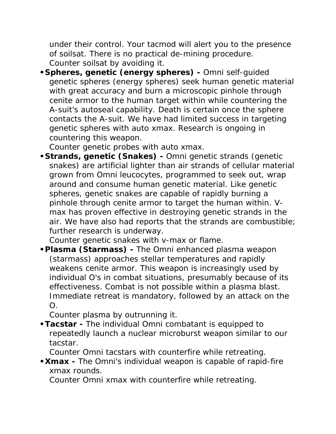under their control. Your tacmod will alert you to the presence of soilsat. There is no practical de-mining procedure. *Counter soilsat by avoiding it.*

**•Spheres, genetic (energy spheres) -** Omni self-guided genetic spheres (energy spheres) seek human genetic material with great accuracy and burn a microscopic pinhole through cenite armor to the human target within while countering the A-suit's autoseal capability. Death is certain once the sphere contacts the A-suit. We have had limited success in targeting genetic spheres with auto xmax. Research is ongoing in countering this weapon.

*Counter genetic probes with auto xmax.*

**•Strands, genetic (Snakes) -** Omni genetic strands (genetic snakes) are artificial lighter than air strands of cellular material grown from Omni leucocytes, programmed to seek out, wrap around and consume human genetic material. Like genetic spheres, genetic snakes are capable of rapidly burning a pinhole through cenite armor to target the human within. Vmax has proven effective in destroying genetic strands in the air. We have also had reports that the strands are combustible; further research is underway.

*Counter genetic snakes with v-max or flame.*

**•Plasma (Starmass) -** The Omni enhanced plasma weapon (starmass) approaches stellar temperatures and rapidly weakens cenite armor. This weapon is increasingly used by individual O's in combat situations, presumably because of its effectiveness. Combat is not possible within a plasma blast. Immediate retreat is mandatory, followed by an attack on the  $O<sub>1</sub>$ 

*Counter plasma by outrunning it.*

**•Tacstar -** The individual Omni combatant is equipped to repeatedly launch a nuclear microburst weapon similar to our tacstar.

*Counter Omni tacstars with counterfire while retreating.*

**•Xmax -** The Omni's individual weapon is capable of rapid-fire xmax rounds.

*Counter Omni xmax with counterfire while retreating.*